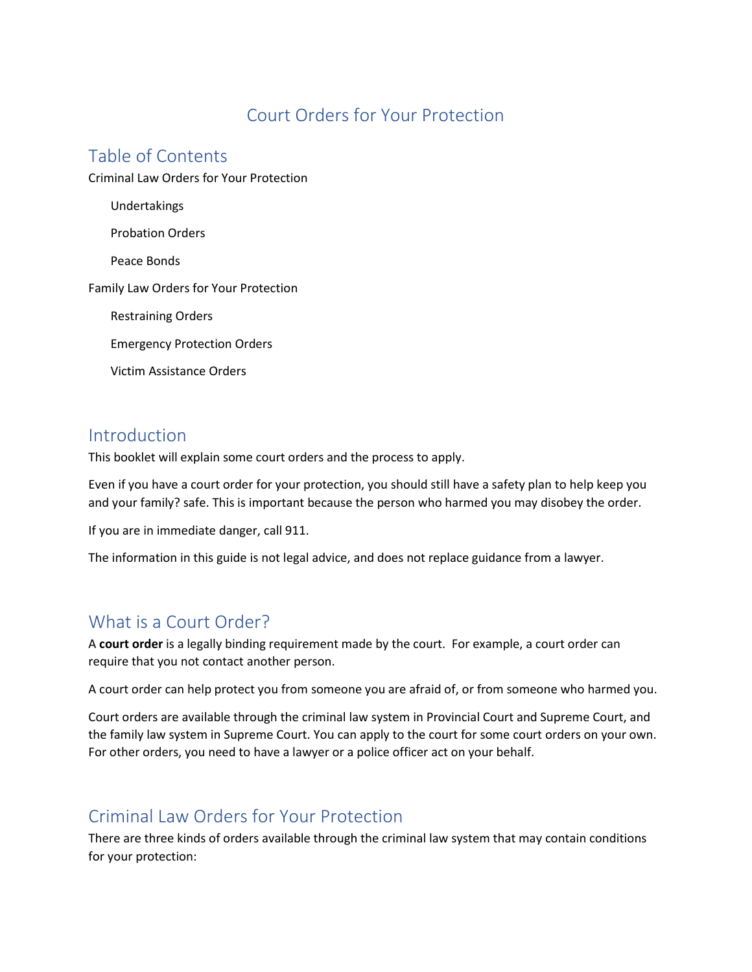# Court Orders for Your Protection

# Table of Contents

Criminal Law Orders for Your Protection

Undertakings Probation Orders Peace Bonds Family Law Orders for Your Protection Restraining Orders Emergency Protection Orders Victim Assistance Orders

## Introduction

This booklet will explain some court orders and the process to apply.

Even if you have a court order for your protection, you should still have a safety plan to help keep you and your family? safe. This is important because the person who harmed you may disobey the order.

If you are in immediate danger, call 911.

The information in this guide is not legal advice, and does not replace guidance from a lawyer.

# What is a Court Order?

A **court order** is a legally binding requirement made by the court. For example, a court order can require that you not contact another person.

A court order can help protect you from someone you are afraid of, or from someone who harmed you.

Court orders are available through the criminal law system in Provincial Court and Supreme Court, and the family law system in Supreme Court. You can apply to the court for some court orders on your own. For other orders, you need to have a lawyer or a police officer act on your behalf.

# Criminal Law Orders for Your Protection

There are three kinds of orders available through the criminal law system that may contain conditions for your protection: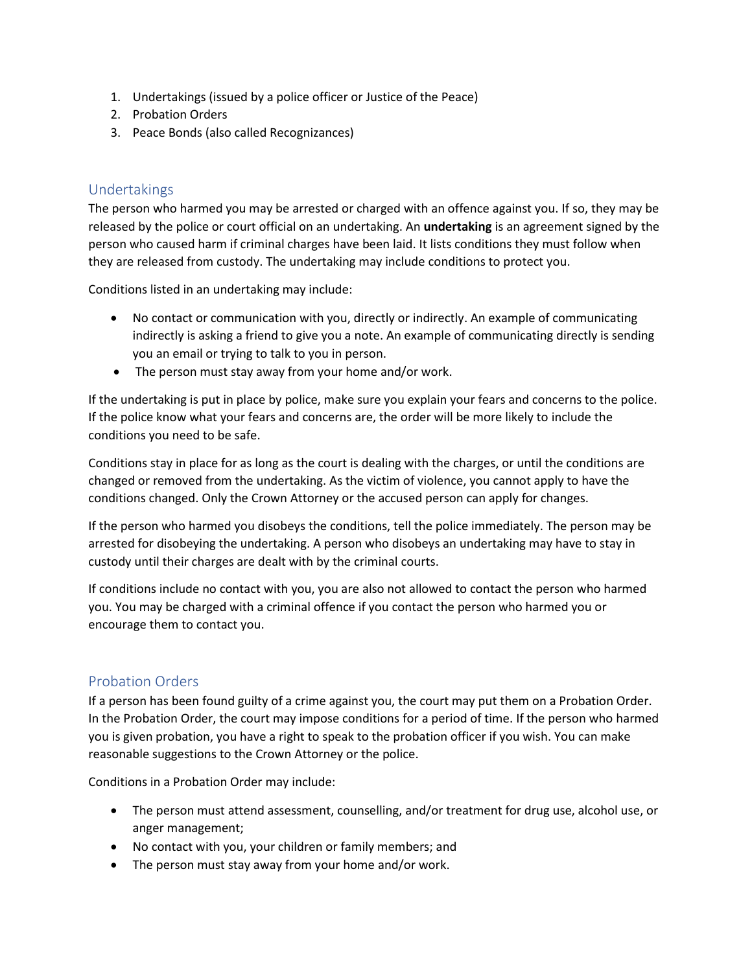- 1. Undertakings (issued by a police officer or Justice of the Peace)
- 2. Probation Orders
- 3. Peace Bonds (also called Recognizances)

## Undertakings

The person who harmed you may be arrested or charged with an offence against you. If so, they may be released by the police or court official on an undertaking. An **undertaking** is an agreement signed by the person who caused harm if criminal charges have been laid. It lists conditions they must follow when they are released from custody. The undertaking may include conditions to protect you.

Conditions listed in an undertaking may include:

- No contact or communication with you, directly or indirectly. An example of communicating indirectly is asking a friend to give you a note. An example of communicating directly is sending you an email or trying to talk to you in person.
- The person must stay away from your home and/or work.

If the undertaking is put in place by police, make sure you explain your fears and concerns to the police. If the police know what your fears and concerns are, the order will be more likely to include the conditions you need to be safe.

Conditions stay in place for as long as the court is dealing with the charges, or until the conditions are changed or removed from the undertaking. As the victim of violence, you cannot apply to have the conditions changed. Only the Crown Attorney or the accused person can apply for changes.

If the person who harmed you disobeys the conditions, tell the police immediately. The person may be arrested for disobeying the undertaking. A person who disobeys an undertaking may have to stay in custody until their charges are dealt with by the criminal courts.

If conditions include no contact with you, you are also not allowed to contact the person who harmed you. You may be charged with a criminal offence if you contact the person who harmed you or encourage them to contact you.

## Probation Orders

If a person has been found guilty of a crime against you, the court may put them on a Probation Order. In the Probation Order, the court may impose conditions for a period of time. If the person who harmed you is given probation, you have a right to speak to the probation officer if you wish. You can make reasonable suggestions to the Crown Attorney or the police.

Conditions in a Probation Order may include:

- The person must attend assessment, counselling, and/or treatment for drug use, alcohol use, or anger management;
- No contact with you, your children or family members; and
- The person must stay away from your home and/or work.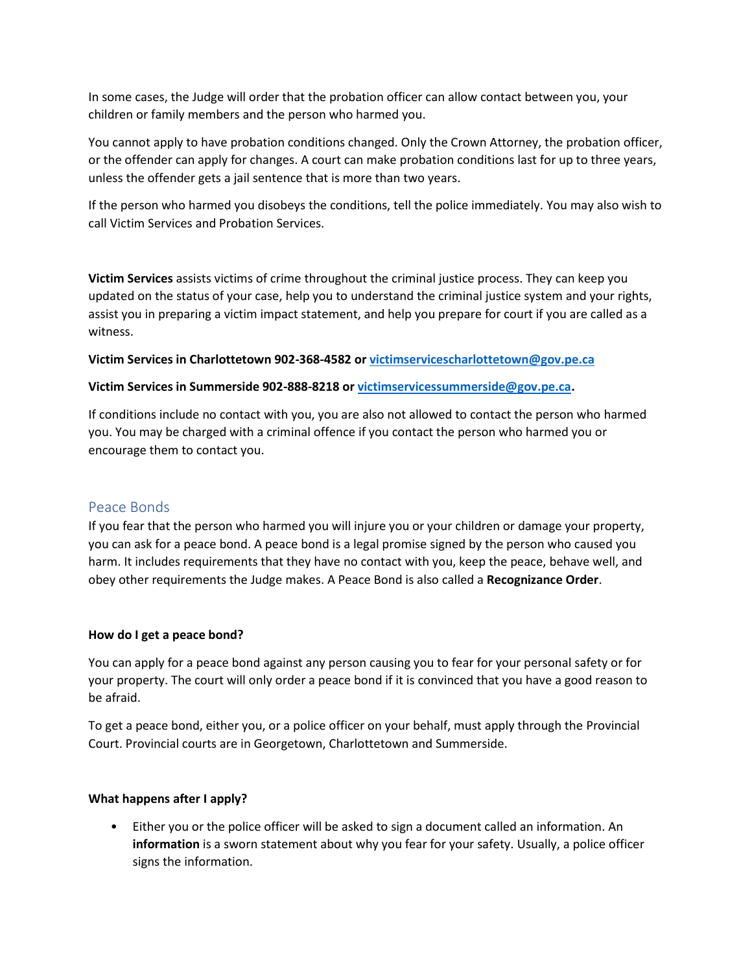In some cases, the Judge will order that the probation officer can allow contact between you, your children or family members and the person who harmed you.

You cannot apply to have probation conditions changed. Only the Crown Attorney, the probation officer, or the offender can apply for changes. A court can make probation conditions last for up to three years, unless the offender gets a jail sentence that is more than two years.

If the person who harmed you disobeys the conditions, tell the police immediately. You may also wish to call Victim Services and Probation Services.

**Victim Services** assists victims of crime throughout the criminal justice process. They can keep you updated on the status of your case, help you to understand the criminal justice system and your rights, assist you in preparing a victim impact statement, and help you prepare for court if you are called as a witness.

**Victim Services in Charlottetown 902-368-4582 or [victimservicescharlottetown@gov.pe.ca](mailto:victimservicescharlottetown@gov.pe.ca)**

### **Victim Services in Summerside 902-888-8218 or [victimservicessummerside@gov.pe.ca.](mailto:victimservicessummerside@gov.pe.ca)**

If conditions include no contact with you, you are also not allowed to contact the person who harmed you. You may be charged with a criminal offence if you contact the person who harmed you or encourage them to contact you.

## Peace Bonds

If you fear that the person who harmed you will injure you or your children or damage your property, you can ask for a peace bond. A peace bond is a legal promise signed by the person who caused you harm. It includes requirements that they have no contact with you, keep the peace, behave well, and obey other requirements the Judge makes. A Peace Bond is also called a **Recognizance Order**.

### **How do I get a peace bond?**

You can apply for a peace bond against any person causing you to fear for your personal safety or for your property. The court will only order a peace bond if it is convinced that you have a good reason to be afraid.

To get a peace bond, either you, or a police officer on your behalf, must apply through the Provincial Court. Provincial courts are in Georgetown, Charlottetown and Summerside.

## **What happens after I apply?**

• Either you or the police officer will be asked to sign a document called an information. An **information** is a sworn statement about why you fear for your safety. Usually, a police officer signs the information.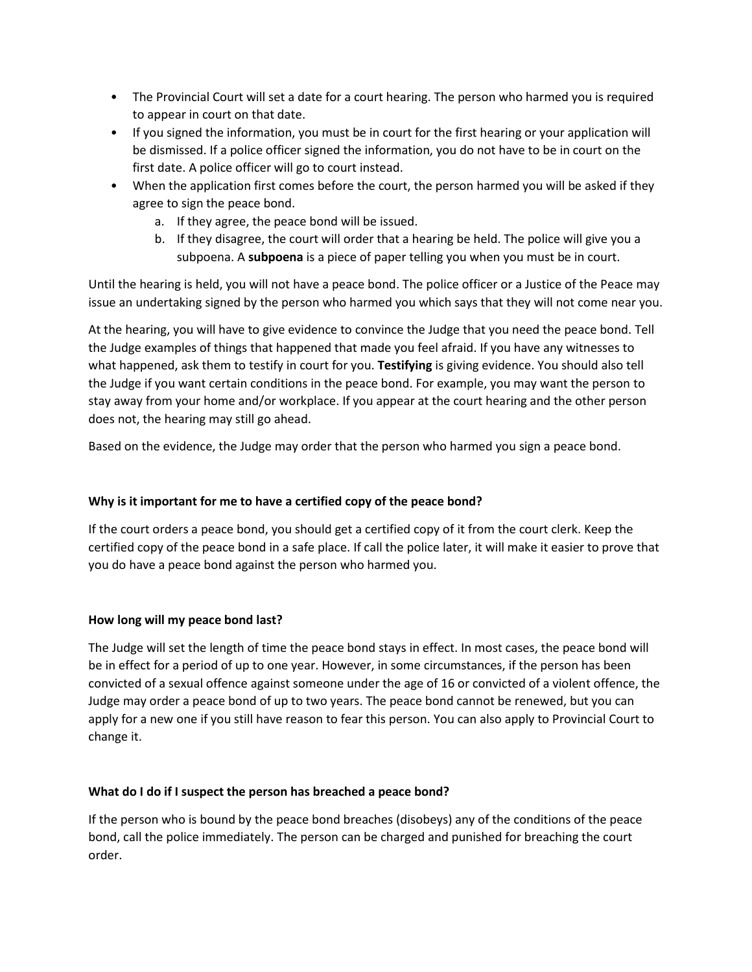- The Provincial Court will set a date for a court hearing. The person who harmed you is required to appear in court on that date.
- If you signed the information, you must be in court for the first hearing or your application will be dismissed. If a police officer signed the information, you do not have to be in court on the first date. A police officer will go to court instead.
- When the application first comes before the court, the person harmed you will be asked if they agree to sign the peace bond.
	- a. If they agree, the peace bond will be issued.
	- b. If they disagree, the court will order that a hearing be held. The police will give you a subpoena. A **subpoena** is a piece of paper telling you when you must be in court.

Until the hearing is held, you will not have a peace bond. The police officer or a Justice of the Peace may issue an undertaking signed by the person who harmed you which says that they will not come near you.

At the hearing, you will have to give evidence to convince the Judge that you need the peace bond. Tell the Judge examples of things that happened that made you feel afraid. If you have any witnesses to what happened, ask them to testify in court for you. **Testifying** is giving evidence. You should also tell the Judge if you want certain conditions in the peace bond. For example, you may want the person to stay away from your home and/or workplace. If you appear at the court hearing and the other person does not, the hearing may still go ahead.

Based on the evidence, the Judge may order that the person who harmed you sign a peace bond.

## **Why is it important for me to have a certified copy of the peace bond?**

If the court orders a peace bond, you should get a certified copy of it from the court clerk. Keep the certified copy of the peace bond in a safe place. If call the police later, it will make it easier to prove that you do have a peace bond against the person who harmed you.

### **How long will my peace bond last?**

The Judge will set the length of time the peace bond stays in effect. In most cases, the peace bond will be in effect for a period of up to one year. However, in some circumstances, if the person has been convicted of a sexual offence against someone under the age of 16 or convicted of a violent offence, the Judge may order a peace bond of up to two years. The peace bond cannot be renewed, but you can apply for a new one if you still have reason to fear this person. You can also apply to Provincial Court to change it.

### **What do I do if I suspect the person has breached a peace bond?**

If the person who is bound by the peace bond breaches (disobeys) any of the conditions of the peace bond, call the police immediately. The person can be charged and punished for breaching the court order.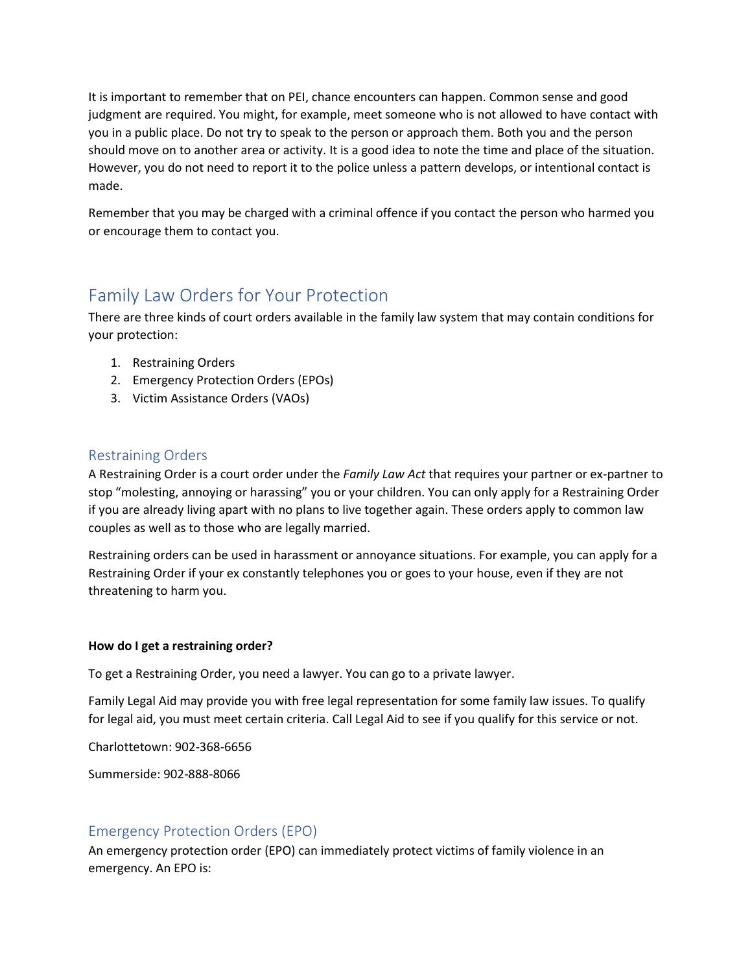It is important to remember that on PEI, chance encounters can happen. Common sense and good judgment are required. You might, for example, meet someone who is not allowed to have contact with you in a public place. Do not try to speak to the person or approach them. Both you and the person should move on to another area or activity. It is a good idea to note the time and place of the situation. However, you do not need to report it to the police unless a pattern develops, or intentional contact is made.

Remember that you may be charged with a criminal offence if you contact the person who harmed you or encourage them to contact you.

# Family Law Orders for Your Protection

There are three kinds of court orders available in the family law system that may contain conditions for your protection:

- 1. Restraining Orders
- 2. Emergency Protection Orders (EPOs)
- 3. Victim Assistance Orders (VAOs)

## Restraining Orders

A Restraining Order is a court order under the *Family Law Act* that requires your partner or ex-partner to stop "molesting, annoying or harassing" you or your children. You can only apply for a Restraining Order if you are already living apart with no plans to live together again. These orders apply to common law couples as well as to those who are legally married.

Restraining orders can be used in harassment or annoyance situations. For example, you can apply for a Restraining Order if your ex constantly telephones you or goes to your house, even if they are not threatening to harm you.

## **How do I get a restraining order?**

To get a Restraining Order, you need a lawyer. You can go to a private lawyer.

Family Legal Aid may provide you with free legal representation for some family law issues. To qualify for legal aid, you must meet certain criteria. Call Legal Aid to see if you qualify for this service or not.

Charlottetown: 902-368-6656

Summerside: 902-888-8066

## Emergency Protection Orders (EPO)

An emergency protection order (EPO) can immediately protect victims of family violence in an emergency. An EPO is: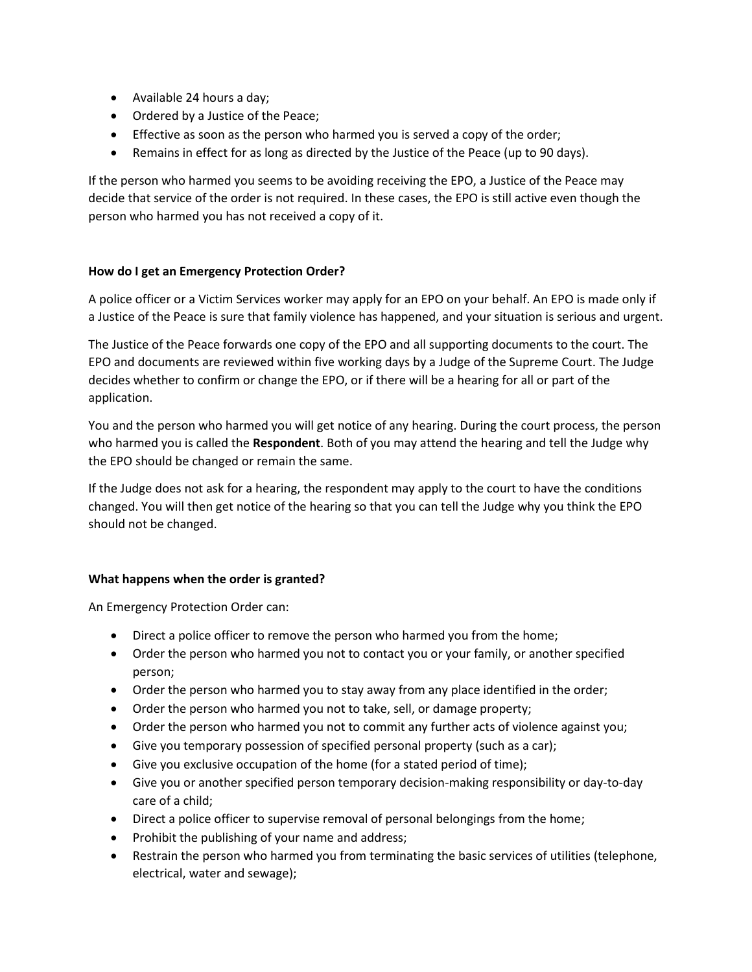- Available 24 hours a day;
- Ordered by a Justice of the Peace;
- Effective as soon as the person who harmed you is served a copy of the order;
- Remains in effect for as long as directed by the Justice of the Peace (up to 90 days).

If the person who harmed you seems to be avoiding receiving the EPO, a Justice of the Peace may decide that service of the order is not required. In these cases, the EPO is still active even though the person who harmed you has not received a copy of it.

### **How do I get an Emergency Protection Order?**

A police officer or a Victim Services worker may apply for an EPO on your behalf. An EPO is made only if a Justice of the Peace is sure that family violence has happened, and your situation is serious and urgent.

The Justice of the Peace forwards one copy of the EPO and all supporting documents to the court. The EPO and documents are reviewed within five working days by a Judge of the Supreme Court. The Judge decides whether to confirm or change the EPO, or if there will be a hearing for all or part of the application.

You and the person who harmed you will get notice of any hearing. During the court process, the person who harmed you is called the **Respondent**. Both of you may attend the hearing and tell the Judge why the EPO should be changed or remain the same.

If the Judge does not ask for a hearing, the respondent may apply to the court to have the conditions changed. You will then get notice of the hearing so that you can tell the Judge why you think the EPO should not be changed.

### **What happens when the order is granted?**

An Emergency Protection Order can:

- Direct a police officer to remove the person who harmed you from the home;
- Order the person who harmed you not to contact you or your family, or another specified person;
- Order the person who harmed you to stay away from any place identified in the order;
- Order the person who harmed you not to take, sell, or damage property;
- Order the person who harmed you not to commit any further acts of violence against you;
- Give you temporary possession of specified personal property (such as a car);
- Give you exclusive occupation of the home (for a stated period of time);
- Give you or another specified person temporary decision-making responsibility or day-to-day care of a child;
- Direct a police officer to supervise removal of personal belongings from the home;
- Prohibit the publishing of your name and address;
- Restrain the person who harmed you from terminating the basic services of utilities (telephone, electrical, water and sewage);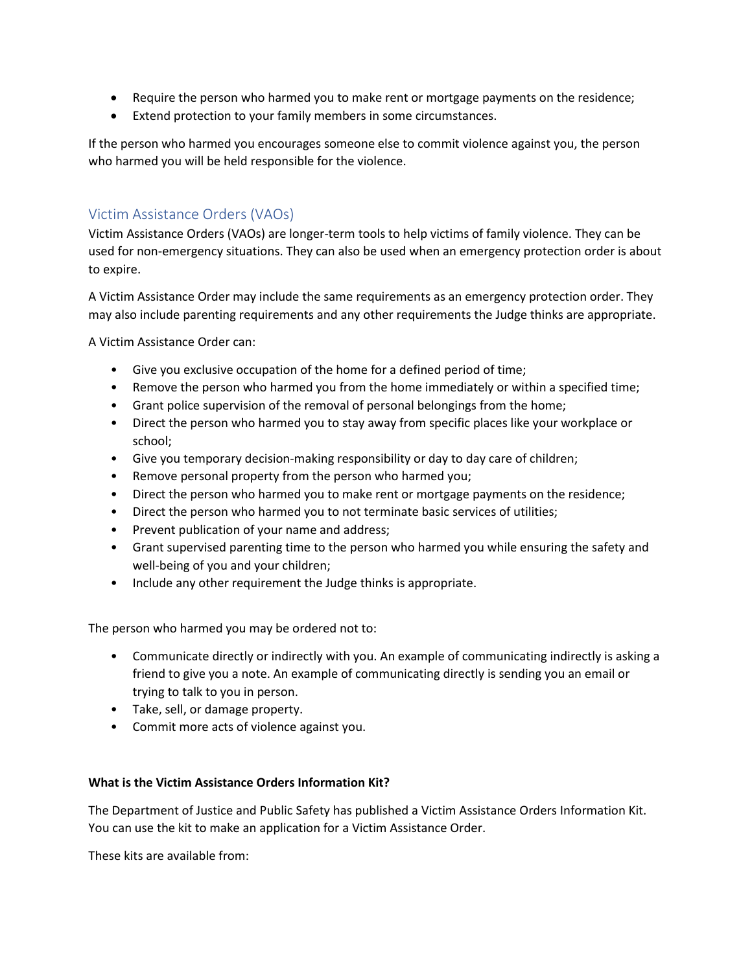- Require the person who harmed you to make rent or mortgage payments on the residence;
- Extend protection to your family members in some circumstances.

If the person who harmed you encourages someone else to commit violence against you, the person who harmed you will be held responsible for the violence.

## Victim Assistance Orders (VAOs)

Victim Assistance Orders (VAOs) are longer-term tools to help victims of family violence. They can be used for non-emergency situations. They can also be used when an emergency protection order is about to expire.

A Victim Assistance Order may include the same requirements as an emergency protection order. They may also include parenting requirements and any other requirements the Judge thinks are appropriate.

A Victim Assistance Order can:

- Give you exclusive occupation of the home for a defined period of time;
- Remove the person who harmed you from the home immediately or within a specified time;
- Grant police supervision of the removal of personal belongings from the home;
- Direct the person who harmed you to stay away from specific places like your workplace or school;
- Give you temporary decision-making responsibility or day to day care of children;
- Remove personal property from the person who harmed you;
- Direct the person who harmed you to make rent or mortgage payments on the residence;
- Direct the person who harmed you to not terminate basic services of utilities;
- Prevent publication of your name and address;
- Grant supervised parenting time to the person who harmed you while ensuring the safety and well-being of you and your children;
- Include any other requirement the Judge thinks is appropriate.

The person who harmed you may be ordered not to:

- Communicate directly or indirectly with you. An example of communicating indirectly is asking a friend to give you a note. An example of communicating directly is sending you an email or trying to talk to you in person.
- Take, sell, or damage property.
- Commit more acts of violence against you.

### **What is the Victim Assistance Orders Information Kit?**

The Department of Justice and Public Safety has published a Victim Assistance Orders Information Kit. You can use the kit to make an application for a Victim Assistance Order.

These kits are available from: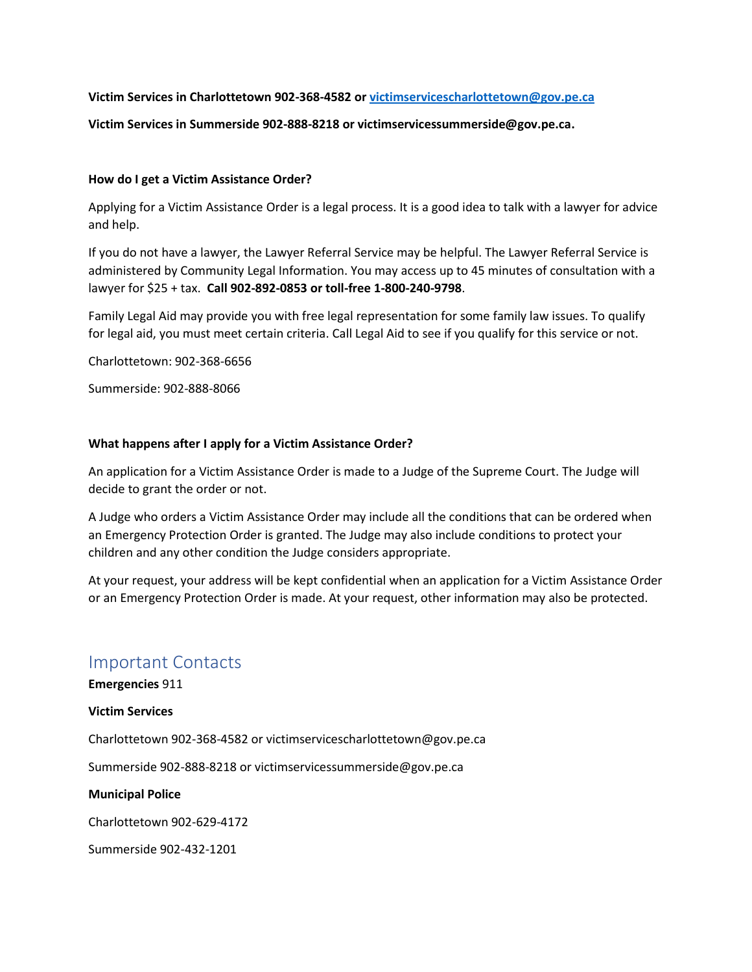#### **Victim Services in Charlottetown 902-368-4582 or [victimservicescharlottetown@gov.pe.ca](mailto:victimservicescharlottetown@gov.pe.ca)**

#### **Victim Services in Summerside 902-888-8218 or victimservicessummerside@gov.pe.ca.**

#### **How do I get a Victim Assistance Order?**

Applying for a Victim Assistance Order is a legal process. It is a good idea to talk with a lawyer for advice and help.

If you do not have a lawyer, the Lawyer Referral Service may be helpful. The Lawyer Referral Service is administered by Community Legal Information. You may access up to 45 minutes of consultation with a lawyer for \$25 + tax. **Call 902-892-0853 or toll-free 1-800-240-9798**.

Family Legal Aid may provide you with free legal representation for some family law issues. To qualify for legal aid, you must meet certain criteria. Call Legal Aid to see if you qualify for this service or not.

Charlottetown: 902-368-6656

Summerside: 902-888-8066

#### **What happens after I apply for a Victim Assistance Order?**

An application for a Victim Assistance Order is made to a Judge of the Supreme Court. The Judge will decide to grant the order or not.

A Judge who orders a Victim Assistance Order may include all the conditions that can be ordered when an Emergency Protection Order is granted. The Judge may also include conditions to protect your children and any other condition the Judge considers appropriate.

At your request, your address will be kept confidential when an application for a Victim Assistance Order or an Emergency Protection Order is made. At your request, other information may also be protected.

## Important Contacts

**Emergencies** 911

#### **Victim Services**

Charlottetown 902-368-4582 or victimservicescharlottetown@gov.pe.ca

Summerside 902-888-8218 or victimservicessummerside@gov.pe.ca

**Municipal Police**

Charlottetown 902-629-4172

Summerside 902-432-1201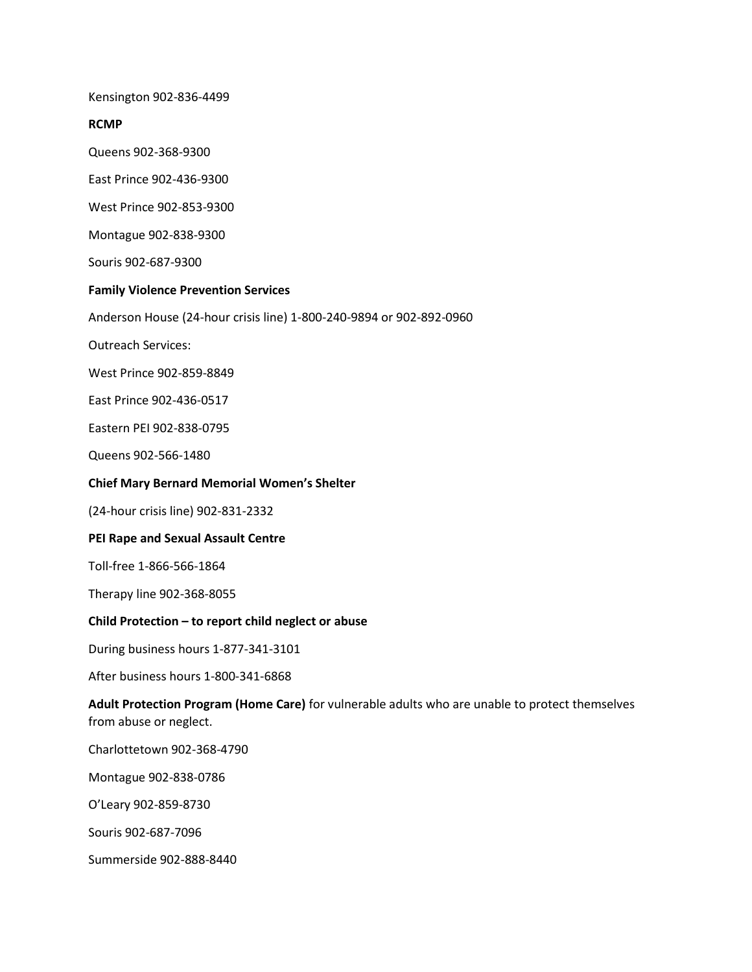Kensington 902-836-4499

#### **RCMP**

Queens 902-368-9300

East Prince 902-436-9300

West Prince 902-853-9300

Montague 902-838-9300

Souris 902-687-9300

### **Family Violence Prevention Services**

Anderson House (24-hour crisis line) 1-800-240-9894 or 902-892-0960

Outreach Services:

West Prince 902-859-8849

East Prince 902-436-0517

Eastern PEI 902-838-0795

Queens 902-566-1480

#### **Chief Mary Bernard Memorial Women's Shelter**

(24-hour crisis line) 902-831-2332

#### **PEI Rape and Sexual Assault Centre**

Toll-free 1-866-566-1864

Therapy line 902-368-8055

#### **Child Protection – to report child neglect or abuse**

During business hours 1-877-341-3101

After business hours 1-800-341-6868

**Adult Protection Program (Home Care)** for vulnerable adults who are unable to protect themselves from abuse or neglect.

Charlottetown 902-368-4790

Montague 902-838-0786

O'Leary 902-859-8730

Souris 902-687-7096

Summerside 902-888-8440